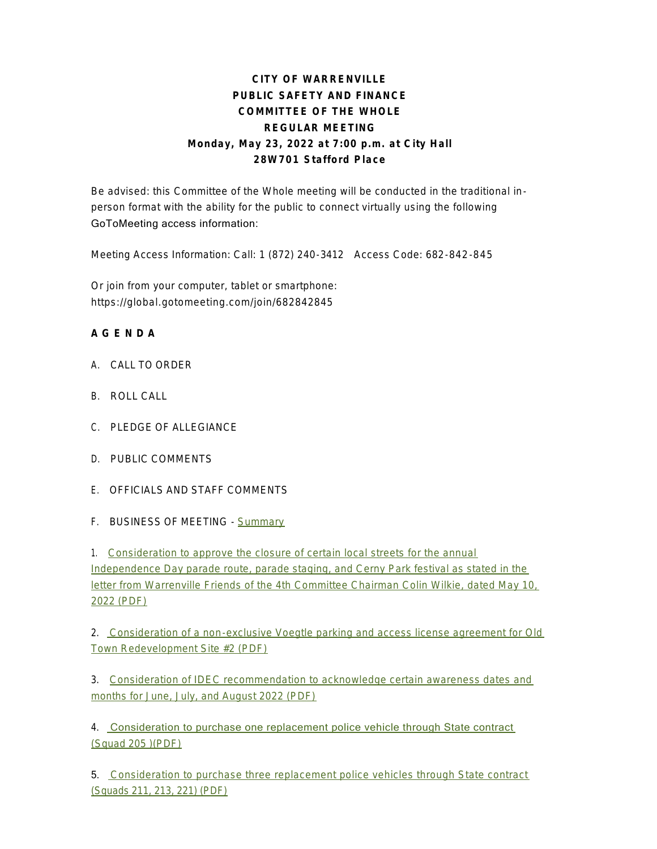## **CITY OF WARRENVILLE PUBLIC SAFETY AND FINANCE COMMITTEE OF THE WHOLE REGULAR MEETING Monday, May 23, 2022 at 7:00 p.m. at City Hall 28W701 Stafford Place**

Be advised: this Committee of the Whole meeting will be conducted in the traditional inperson format with the ability for the public to connect virtually using the following GoToMeeting access information:

Meeting Access Information: Call: 1 (872) 240-3412 Access Code: 682-842-845

Or join from your computer, tablet or smartphone: https://global.gotomeeting.com/join/682842845

## **A G E N D A**

- A. CALL TO ORDER
- B. ROLL CALL
- C. PLEDGE OF ALLEGIANCE
- D. PUBLIC COMMENTS
- E. OFFICIALS AND STAFF COMMENTS
- F. BUSINESS OF MEETING [Summary](https://www.warrenville.il.us/DocumentCenter/View/19168/05-23-22-Summary)

1. Consideration to approve the closure of certain local streets for the annual Independence Day parade route, parade staging, and Cerny Park festival as stated in the lett[er from Warrenville Friends of the 4th Committee Chairman Colin Wilkie, dated May 10,](https://www.warrenville.il.us/DocumentCenter/View/19164/F1-052322-2022-Road-closures-4th-of-July)  2022 (PDF)

2. [Consideration of a non-exclusive Voegtle parking and access license agreement for Old](https://www.warrenville.il.us/DocumentCenter/View/19165/F2-052322--Voegtle-License--Agmnt)  Town Redevelopment Site #2 (PDF)

3. [Consideration of IDEC recommendation to acknowledge certain awareness dates and](https://www.warrenville.il.us/DocumentCenter/View/19166/F3-052322-IDEC-Recommendation)  months for June, July, and August 2022 (PDF)

4. [Consideration to purchase one replacement police vehicle through State contract](https://www.warrenville.il.us/DocumentCenter/View/19161/F4-052322-Squad-replacement-205)  (Squad 205 )(PDF)

5. [Consideration to purchase three replacement police vehicles through State contract](https://www.warrenville.il.us/DocumentCenter/View/19162/F5-052322-Purchase-of-three-Squads-211-213-221)  (Squads 211, 213, 221) (PDF)